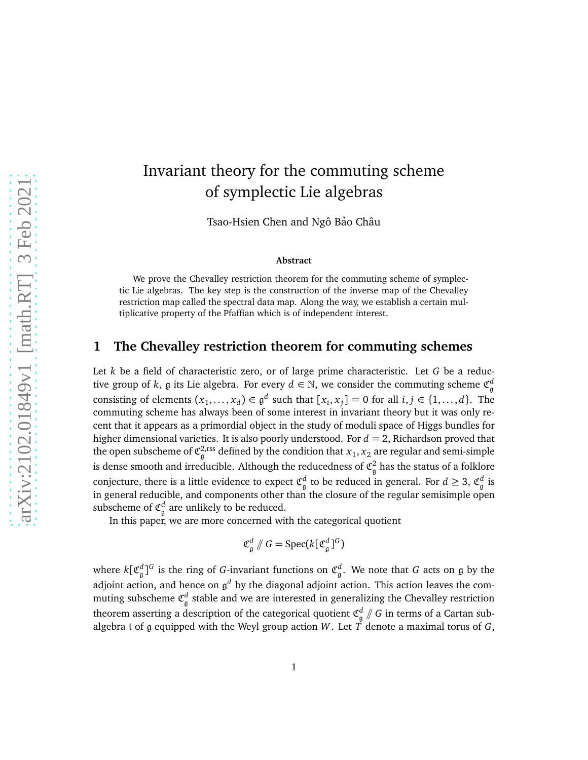# Invariant theory for the commuting scheme of symplectic Lie algebras

Tsao-Hsien Chen and Ngô Bảo Châu

#### **Abstract**

We prove the Chevalley restriction theorem for the commuting scheme of symplectic Lie algebras. The key step is the construction of the inverse map of the Chevalley restriction map called the spectral data map. Along the way, we establish a certain multiplicative property of the Pfaffian which is of independent interest.

## **1 The Chevalley restriction theorem for commuting schemes**

Let *k* be a field of characteristic zero, or of large prime characteristic. Let *G* be a reductive group of  $k$ ,  $\frak{g}$  its Lie algebra. For every  $d \in \mathbb{N}$ , we consider the commuting scheme  $\mathfrak{C}^d_{\frak{g}}$ consisting of elements  $(x_1, \ldots, x_d) \in \mathfrak{g}^d$  such that  $[x_i, x_j] = 0$  for all  $i, j \in \{1, \ldots, d\}$ . The commuting scheme has always been of some interest in invariant theory but it was only recent that it appears as a primordial object in the study of moduli space of Higgs bundles for higher dimensional varieties. It is also poorly understood. For *d* = 2, Richardson proved that the open subscheme of  $\mathfrak{C}_{\mathfrak{g}}^{2,\text{rss}}$  defined by the condition that  $x_1,x_2$  are regular and semi-simple is dense smooth and irreducible. Although the reducedness of  $\mathfrak{C}_{\mathfrak{g}}^2$  has the status of a folklore conjecture, there is a little evidence to expect  $\mathfrak{C}^d_{\mathfrak{g}}$  to be reduced in general. For  $d\geq 3$ ,  $\mathfrak{C}^d_{\mathfrak{g}}$  is in general reducible, and components other than the closure of the regular semisimple open subscheme of  $\mathfrak{C}_{\mathfrak{g}}^d$  are unlikely to be reduced.

In this paper, we are more concerned with the categorical quotient

$$
\mathfrak{C}_{\mathfrak{g}}^d \mathbin{/\!\!/} G = \mathrm{Spec}(k[\mathfrak{C}_{\mathfrak{g}}^d]^G)
$$

where  $k[\mathfrak{C}^d_{\mathfrak{g}}]^G$  is the ring of *G*-invariant functions on  $\mathfrak{C}^d_{\mathfrak{g}}.$  We note that *G* acts on  $\mathfrak g$  by the adjoint action, and hence on g *<sup>d</sup>* by the diagonal adjoint action. This action leaves the commuting subscheme  $\mathfrak{C}^d_{\mathfrak{g}}$  stable and we are interested in generalizing the Chevalley restriction theorem asserting a description of the categorical quotient  $\mathfrak{C}_{\mathfrak{g}}^d\mathbin{/\!\!/} G$  in terms of a Cartan subalgebra t of g equipped with the Weyl group action W. Let  $\overrightarrow{T}$  denote a maximal torus of *G*,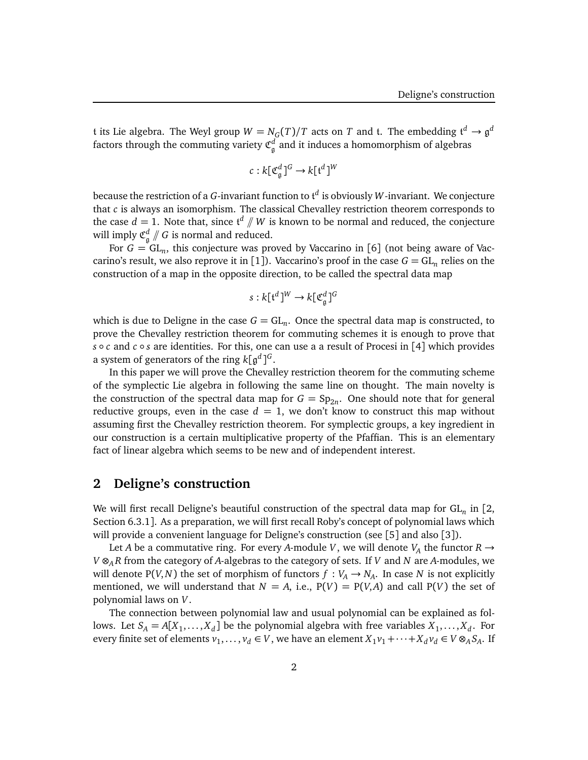t its Lie algebra. The Weyl group  $W = N_G(T)/T$  acts on  $T$  and  $t$ . The embedding  $\mathfrak{t}^d \to \mathfrak{g}^d$ factors through the commuting variety  ${\mathfrak C}^d_{\mathfrak g}$  and it induces a homomorphism of algebras

$$
c: k[\mathfrak{C}_{\mathfrak{g}}^d]^{G} \to k[\mathfrak{t}^d]^{W}
$$

because the restriction of a *G*-invariant function to t *d* is obviously *W*-invariant. We conjecture that *c* is always an isomorphism. The classical Chevalley restriction theorem corresponds to the case  $d = 1$ . Note that, since  $\mathfrak{t}^d \not\parallel W$  is known to be normal and reduced, the conjecture will imply  $\mathfrak{C}_{\mathfrak{g}}^{d}$  //  $G$  is normal and reduced.

For  $G = GL_n$ , this conjecture was proved by Vaccarino in [6] (not being aware of Vaccarino's result, we also reprove it in [1]). Vaccarino's proof in the case  $G = \mathrm{GL}_n$  relies on the construction of a map in the opposite direction, to be called the spectral data map

$$
s: k[{\mathfrak t}^d]^W \to k[{\mathfrak C}^d_{\mathfrak g}]^G
$$

which is due to Deligne in the case  $G = GL_n$ . Once the spectral data map is constructed, to prove the Chevalley restriction theorem for commuting schemes it is enough to prove that *s* ◦ *c* and *c* ◦ *s* are identities. For this, one can use a a result of Procesi in [4] which provides a system of generators of the ring  $k[\mathfrak{g}^d]^{G}.$ 

In this paper we will prove the Chevalley restriction theorem for the commuting scheme of the symplectic Lie algebra in following the same line on thought. The main novelty is the construction of the spectral data map for  $G = Sp_{2n}$ . One should note that for general reductive groups, even in the case  $d = 1$ , we don't know to construct this map without assuming first the Chevalley restriction theorem. For symplectic groups, a key ingredient in our construction is a certain multiplicative property of the Pfaffian. This is an elementary fact of linear algebra which seems to be new and of independent interest.

#### **2 Deligne's construction**

We will first recall Deligne's beautiful construction of the spectral data map for GL*<sup>n</sup>* in [2, Section 6.3.1]. As a preparation, we will first recall Roby's concept of polynomial laws which will provide a convenient language for Deligne's construction (see [5] and also [3]).

Let *A* be a commutative ring. For every *A*-module *V*, we will denote *V<sub>A</sub>* the functor  $R \rightarrow$ *V* ⊗*<sup>A</sup> R* from the category of *A*-algebras to the category of sets. If *V* and *N* are *A*-modules, we will denote P(*V*,*N*) the set of morphism of functors  $f : V_A \to N_A$ . In case *N* is not explicitly mentioned, we will understand that  $N = A$ , i.e.,  $P(V) = P(V, A)$  and call  $P(V)$  the set of polynomial laws on *V*.

The connection between polynomial law and usual polynomial can be explained as follows. Let  $S_A = A[X_1, \ldots, X_d]$  be the polynomial algebra with free variables  $X_1, \ldots, X_d$ . For every finite set of elements  $v_1, \ldots, v_d \in V$ , we have an element  $X_1v_1 + \cdots + X_d v_d \in V \otimes_A S_A$ . If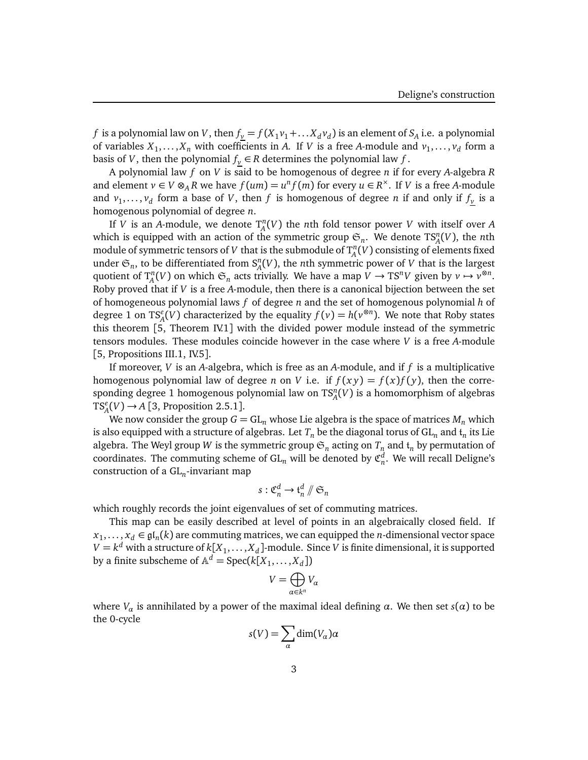*f* is a polynomial law on *V*, then  $f_y = f(X_1v_1 + ... X_d v_d)$  is an element of  $S_A$  i.e. a polynomial of variables  $X_1, \ldots, X_n$  with coefficients in *A*. If *V* is a free *A*-module and  $v_1, \ldots, v_d$  form a basis of *V*, then the polynomial  $f_v \in R$  determines the polynomial law  $f$ .

A polynomial law *f* on *V* is said to be homogenous of degree *n* if for every *A*-algebra *R* and element  $v \in V \otimes_A R$  we have  $f(um) = u^n f(m)$  for every  $u \in R^{\times}$ . If *V* is a free *A*-module and  $v_1, \ldots, v_d$  form a base of *V*, then *f* is homogenous of degree *n* if and only if  $f_\gamma$  is a homogenous polynomial of degree *n*.

If *V* is an *A*-module, we denote  $T_A^n(V)$  the *n*th fold tensor power *V* with itself over *A* which is equipped with an action of the symmetric group  $\mathfrak{S}_n$ . We denote  $TS_A^n(V)$ , the *n*th module of symmetric tensors of *V* that is the submodule of  $T_A^n(V)$  consisting of elements fixed under  $\mathfrak{S}_n$ , to be differentiated from  $S_A^n(V)$ , the *n*th symmetric power of *V* that is the largest quotient of  $T_A^n(V)$  on which  $\mathfrak{S}_n$  acts trivially. We have a map  $V \to TS^nV$  given by  $v \mapsto v^{\otimes n}$ . Roby proved that if *V* is a free *A*-module, then there is a canonical bijection between the set of homogeneous polynomial laws *f* of degree *n* and the set of homogenous polynomial *h* of degree 1 on TS<sup>*e*</sup><sub>A</sub>(*V*) characterized by the equality  $f(v) = h(v^{\otimes n})$ . We note that Roby states this theorem [5, Theorem IV.1] with the divided power module instead of the symmetric tensors modules. These modules coincide however in the case where *V* is a free *A*-module [5, Propositions III.1, IV.5].

If moreover, *V* is an *A*-algebra, which is free as an *A*-module, and if *f* is a multiplicative homogenous polynomial law of degree *n* on *V* i.e. if  $f(xy) = f(x)f(y)$ , then the corresponding degree 1 homogenous polynomial law on  $\text{TS}_A^n(V)$  is a homomorphism of algebras  $TS<sub>A</sub><sup>e</sup>(V) \rightarrow A$  [3, Proposition 2.5.1].

We now consider the group  $G = GL_n$  whose Lie algebra is the space of matrices  $M_n$  which is also equipped with a structure of algebras. Let  $T_n$  be the diagonal torus of  $\mathrm{GL}_n$  and  $\mathfrak{t}_n$  its Lie algebra. The Weyl group *W* is the symmetric group  $\mathfrak{S}_n$  acting on  $T_n$  and  $\mathfrak{t}_n$  by permutation of coordinates. The commuting scheme of  $\mathrm{GL}_n$  will be denoted by  $\mathfrak{C}_n^d.$  We will recall Deligne's construction of a GL*<sup>n</sup>* -invariant map

$$
s: \mathfrak{C}_n^d \to \mathfrak{t}_n^d \mathbin{/}\mathfrak{S}_n
$$

which roughly records the joint eigenvalues of set of commuting matrices.

This map can be easily described at level of points in an algebraically closed field. If  $x_1, \ldots, x_d \in \mathfrak{gl}_n(k)$  are commuting matrices, we can equipped the *n*-dimensional vector space  $V = k^d$  with a structure of  $k[X_1,\ldots,X_d]$ -module. Since  $V$  is finite dimensional, it is supported by a finite subscheme of  $\mathbb{A}^d = \operatorname{Spec}(k[X_1,\ldots,X_d])$ 

$$
V=\bigoplus_{\alpha\in k^n}V_\alpha
$$

where *V*<sub>*α*</sub> is annihilated by a power of the maximal ideal defining *α*. We then set *s*(*α*) to be the 0-cycle

$$
s(V) = \sum_{\alpha} \dim(V_{\alpha}) \alpha
$$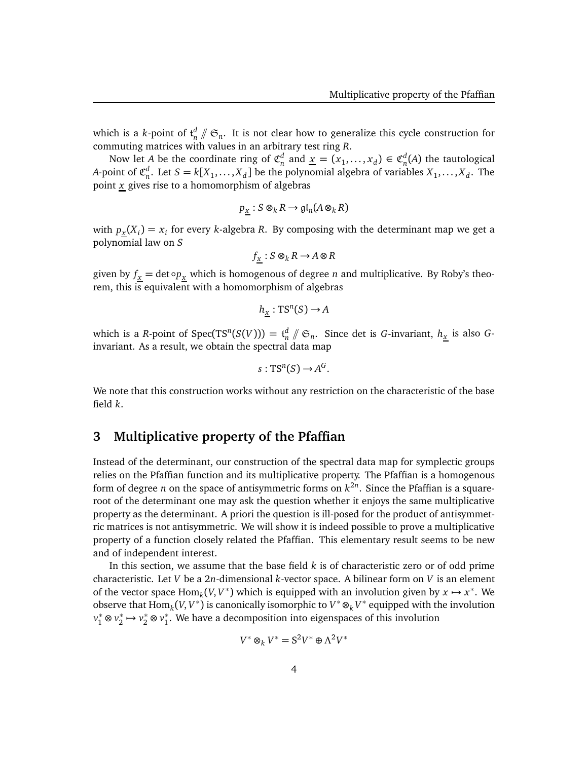which is a *k*-point of  $\mathfrak{t}_n^d \not\|\mathfrak{S}_n$ . It is not clear how to generalize this cycle construction for commuting matrices with values in an arbitrary test ring *R*.

Now let *A* be the coordinate ring of  $\mathfrak{C}_n^d$  and  $\underline{x} = (x_1, \ldots, x_d) \in \mathfrak{C}_n^d(A)$  the tautological *A*-point of  $\mathfrak{C}_n^d$ . Let  $S = k[X_1, \ldots, X_d]$  be the polynomial algebra of variables  $X_1, \ldots, X_d$ . The point *x* gives rise to a homomorphism of algebras

$$
p_{\underline{x}} : S \otimes_k R \to \mathfrak{gl}_n(A \otimes_k R)
$$

with  $p_x(X_i) = x_i$  for every *k*-algebra *R*. By composing with the determinant map we get a polynomial law on *S*

$$
f_{\underline{x}} : S \otimes_k R \to A \otimes R
$$

given by  $f_{\underline{x}} = \det \circ p_{\underline{x}}$  which is homogenous of degree *n* and multiplicative. By Roby's theorem, this is equivalent with a homomorphism of algebras

$$
h_{\underline{x}} : TS^{n}(S) \to A
$$

which is a *R*-point of Spec(TS<sup>n</sup>(S(*V*))) =  $t_n^d \nmid \mathfrak{S}_n$ . Since det is *G*-invariant,  $h_{\underline{x}}$  is also *G*invariant. As a result, we obtain the spectral data map

$$
s:TS^n(S)\to A^G.
$$

We note that this construction works without any restriction on the characteristic of the base field *k*.

# **3 Multiplicative property of the Pfaffian**

Instead of the determinant, our construction of the spectral data map for symplectic groups relies on the Pfaffian function and its multiplicative property. The Pfaffian is a homogenous form of degree *n* on the space of antisymmetric forms on *k* 2*n* . Since the Pfaffian is a squareroot of the determinant one may ask the question whether it enjoys the same multiplicative property as the determinant. A priori the question is ill-posed for the product of antisymmetric matrices is not antisymmetric. We will show it is indeed possible to prove a multiplicative property of a function closely related the Pfaffian. This elementary result seems to be new and of independent interest.

In this section, we assume that the base field *k* is of characteristic zero or of odd prime characteristic. Let *V* be a 2*n*-dimensional *k*-vector space. A bilinear form on *V* is an element of the vector space  $\text{Hom}_k(V, V^*)$  which is equipped with an involution given by  $x \mapsto x^*$ . We observe that  $\text{Hom}_k(V, V^*)$  is canonically isomorphic to  $V^* \otimes_k V^*$  equipped with the involution  $v_1^*$  ⊗  $v_2^*$  →  $v_2^*$  ⊗  $v_1^*$ . We have a decomposition into eigenspaces of this involution

$$
V^* \otimes_k V^* = S^2 V^* \oplus \Lambda^2 V^*
$$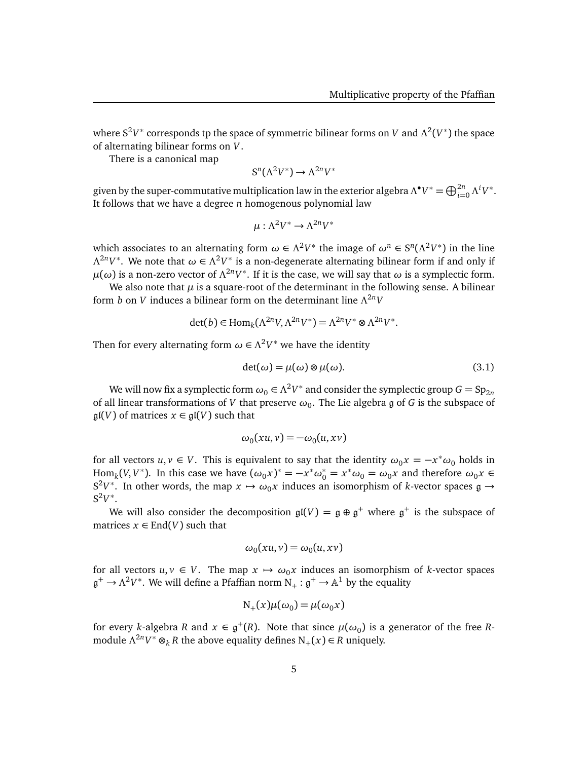where S<sup>2</sup>V\* corresponds tp the space of symmetric bilinear forms on *V* and Λ<sup>2</sup>(V\*) the space of alternating bilinear forms on *V*.

There is a canonical map

$$
S^n(\Lambda^2 V^*) \to \Lambda^{2n} V^*
$$

given by the super-commutative multiplication law in the exterior algebra  $\Lambda^{\bullet}V^*=\bigoplus_{i=0}^{2n}\Lambda^iV^*.$ It follows that we have a degree *n* homogenous polynomial law

$$
\mu : \Lambda^2 V^* \to \Lambda^{2n} V^*
$$

which associates to an alternating form  $\omega \in \Lambda^2 V^*$  the image of  $\omega^n \in S^n(\Lambda^2 V^*)$  in the line  $Λ<sup>2n</sup>V<sup>*</sup>$ . We note that  $ω ∈ Λ<sup>2</sup>V<sup>*</sup>$  is a non-degenerate alternating bilinear form if and only if  $\mu(\omega)$  is a non-zero vector of  $Λ^{2n}V^*$ . If it is the case, we will say that  $\omega$  is a symplectic form.

We also note that  $\mu$  is a square-root of the determinant in the following sense. A bilinear form *b* on *V* induces a bilinear form on the determinant line *Λ* <sup>2</sup>*nV*

$$
\det(b) \in \text{Hom}_k(\Lambda^{2n}V, \Lambda^{2n}V^*) = \Lambda^{2n}V^* \otimes \Lambda^{2n}V^*.
$$

Then for every alternating form  $\omega \in \Lambda^2 V^*$  we have the identity

$$
\det(\omega) = \mu(\omega) \otimes \mu(\omega). \tag{3.1}
$$

We will now fix a symplectic form  $\omega_0 \in \Lambda^2 V^*$  and consider the symplectic group  $G = \mathrm{Sp}_{2n}$ of all linear transformations of *V* that preserve  $\omega_0$ . The Lie algebra  $\mathfrak g$  of  $G$  is the subspace of  $\mathfrak{gl}(V)$  of matrices  $x \in \mathfrak{gl}(V)$  such that

$$
\omega_0(xu,v) = -\omega_0(u,xv)
$$

for all vectors  $u, v \in V$ . This is equivalent to say that the identity  $\omega_0 x = -x^* \omega_0$  holds in  $\text{Hom}_k(V, V^*)$ . In this case we have  $(\omega_0 x)^* = -x^* \omega_0^* = x^* \omega_0 = \omega_0 x$  and therefore  $\omega_0 x \in$  $S^2V^*$ . In other words, the map  $x \mapsto \omega_0 x$  induces an isomorphism of *k*-vector spaces  $\mathfrak{g} \to$  $S^2V^*$ .

We will also consider the decomposition  $\mathfrak{gl}(V) = \mathfrak{g} \oplus \mathfrak{g}^+$  where  $\mathfrak{g}^+$  is the subspace of matrices  $x \in$  End(*V*) such that

$$
\omega_0(xu,v) = \omega_0(u,xv)
$$

for all vectors  $u, v \in V$ . The map  $x \mapsto \omega_0 x$  induces an isomorphism of *k*-vector spaces  $\mathfrak{g}^+ \to \Lambda^2 V^*.$  We will define a Pfaffian norm  $\mathrm{N}_+:\mathfrak{g}^+ \to \mathbb{A}^1$  by the equality

$$
N_{+}(x)\mu(\omega_{0})=\mu(\omega_{0}x)
$$

for every *k*-algebra *R* and  $x \in \mathfrak{g}^+(R)$ . Note that since  $\mu(\omega_0)$  is a generator of the free *R*module  $Λ<sup>2n</sup>V<sup>*</sup> ⊗<sub>k</sub>$  *R* the above equality defines  $N<sub>+</sub>(x) ∈ R$  uniquely.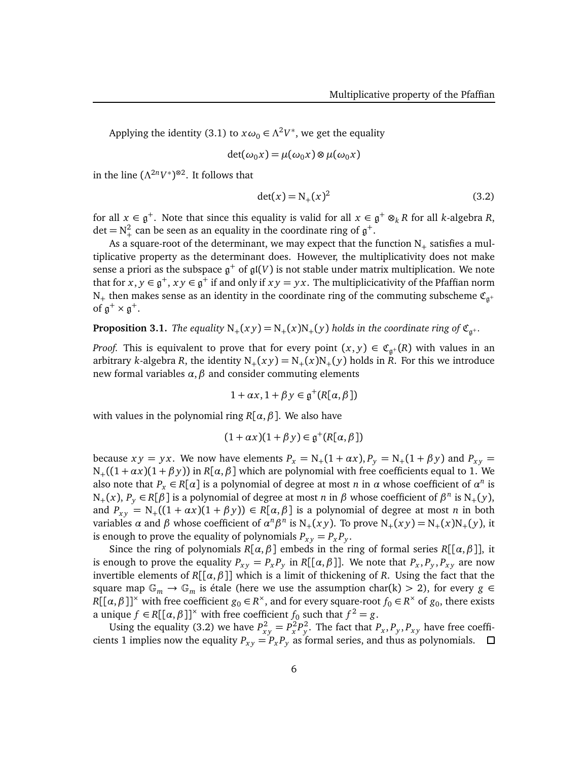Applying the identity (3.1) to  $x\omega_0 \in \Lambda^2 V^*$ , we get the equality

$$
\det(\omega_0 x) = \mu(\omega_0 x) \otimes \mu(\omega_0 x)
$$

in the line  $(\Lambda^{2n}V^*)^{\otimes 2}$ . It follows that

$$
\det(x) = N_+(x)^2 \tag{3.2}
$$

for all  $x \in \mathfrak{g}^+$ . Note that since this equality is valid for all  $x \in \mathfrak{g}^+ \otimes_k R$  for all *k*-algebra *R*, det =  $N_+^2$  can be seen as an equality in the coordinate ring of  $\mathfrak{g}^+$ .

As a square-root of the determinant, we may expect that the function  $N_{+}$  satisfies a multiplicative property as the determinant does. However, the multiplicativity does not make sense a priori as the subspace  $\mathfrak{g}^+$  of  $\mathfrak{gl}(V)$  is not stable under matrix multiplication. We note that for  $x, y \in \mathfrak{g}^+, xy \in \mathfrak{g}^+$  if and only if  $xy = yx$ . The multiplicicativity of the Pfaffian norm N<sub>+</sub> then makes sense as an identity in the coordinate ring of the commuting subscheme  $\mathfrak{C}_{a^+}$ of  $\mathfrak{g}^+ \times \mathfrak{g}^+$ .

**Proposition 3.1.** *The equality*  $N_+(xy) = N_+(x)N_+(y)$  *holds in the coordinate ring of*  $\mathfrak{C}_{\mathfrak{g}^+}$ *.* 

*Proof.* This is equivalent to prove that for every point  $(x, y) \in \mathfrak{C}_{\mathfrak{g}^+}(R)$  with values in an arbitrary *k*-algebra *R*, the identity  $N_+(xy) = N_+(x)N_+(y)$  holds in *R*. For this we introduce new formal variables  $\alpha$ ,  $\beta$  and consider commuting elements

$$
1 + \alpha x, 1 + \beta y \in \mathfrak{g}^+(R[\alpha, \beta])
$$

with values in the polynomial ring  $R[\alpha, \beta]$ . We also have

$$
(1 + \alpha x)(1 + \beta y) \in \mathfrak{g}^+(R[\alpha, \beta])
$$

because  $xy = yx$ . We now have elements  $P_x = N_+(1 + \alpha x)$ ,  $P_y = N_+(1 + \beta y)$  and  $P_{xy} =$  $N_{+}((1 + \alpha x)(1 + \beta y))$  in *R*[ $\alpha$ ,  $\beta$ ] which are polynomial with free coefficients equal to 1. We also note that  $P_x \in R[\alpha]$  is a polynomial of degree at most *n* in  $\alpha$  whose coefficient of  $\alpha^n$  is  $N_+(x)$ ,  $P_y \in R[\beta]$  is a polynomial of degree at most *n* in  $\beta$  whose coefficient of  $\beta^n$  is  $N_+(y)$ , and  $P_{xy} = N_+((1 + \alpha x)(1 + \beta y)) \in R[\alpha, \beta]$  is a polynomial of degree at most *n* in both variables  $\alpha$  and  $\beta$  whose coefficient of  $\alpha^n \beta^n$  is  $N_+(xy)$ . To prove  $N_+(xy) = N_+(x)N_+(y)$ , it is enough to prove the equality of polynomials  $P_{xy} = P_x P_y$ .

Since the ring of polynomials  $R[\alpha, \beta]$  embeds in the ring of formal series  $R[[\alpha, \beta]],$  it is enough to prove the equality  $P_{xy} = P_x P_y$  in  $R[[\alpha, \beta]]$ . We note that  $P_x, P_y, P_{xy}$  are now invertible elements of *R*[[*α*,*β*]] which is a limit of thickening of *R*. Using the fact that the square map  $\mathbb{G}_m \to \mathbb{G}_m$  is étale (here we use the assumption char(k) > 2), for every  $g \in$ *R*[[ $\alpha$ , $\beta$ ]]<sup>×</sup> with free coefficient  $g_0 \in R^{\times}$ , and for every square-root  $f_0 \in R^{\times}$  of  $g_0$ , there exists a unique  $f \in R[[\alpha, \beta]]^{\times}$  with free coefficient  $f_0$  such that  $f^2 = g$ .

Using the equality (3.2) we have  $P_{xy}^2 = P_x^2 P_y^2$ . The fact that  $P_x, P_y, P_{xy}$  have free coefficients 1 implies now the equality  $P_{xy} = P_x P_y$  as formal series, and thus as polynomials.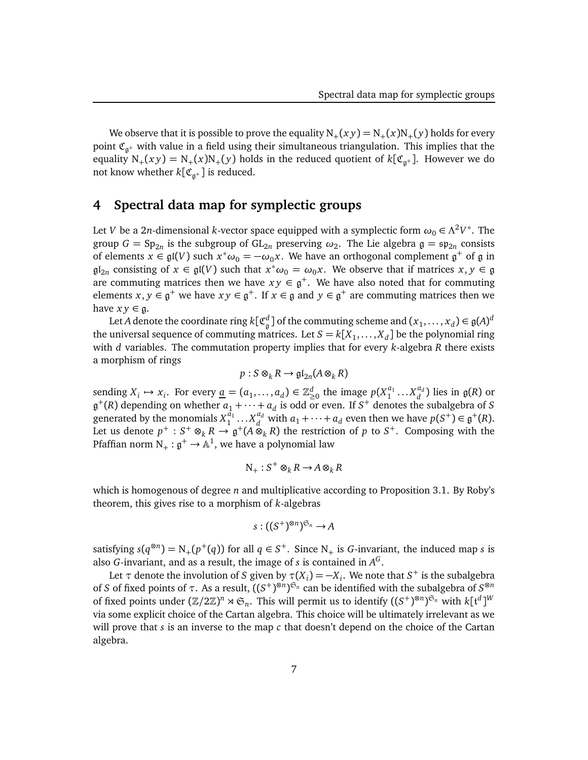We observe that it is possible to prove the equality  $N_{+}(xy) = N_{+}(x)N_{+}(y)$  holds for every point  $\mathfrak{C}_{\mathfrak{g}^+}$  with value in a field using their simultaneous triangulation. This implies that the equality  $N_+(xy) = N_+(x)N_+(y)$  holds in the reduced quotient of  $k[\mathfrak{C}_{\mathfrak{g}^+}]$ . However we do not know whether  $k[\mathfrak{C}_{\mathfrak{g}^+}]$  is reduced.

# **4 Spectral data map for symplectic groups**

Let *V* be a 2*n*-dimensional *k*-vector space equipped with a symplectic form  $\omega_0 \in \Lambda^2 V^*.$  The group  $G = \text{Sp}_{2n}$  is the subgroup of  $\text{GL}_{2n}$  preserving  $\omega_2$ . The Lie algebra  $\mathfrak{g} = \mathfrak{sp}_{2n}$  consists of elements  $x \in \mathfrak{gl}(V)$  such  $x^* \omega_0 = -\omega_0 x$ . We have an orthogonal complement  $\mathfrak{g}^+$  of  $\mathfrak g$  in  $\mathfrak{gl}_{2n}$  consisting of  $x \in \mathfrak{gl}(V)$  such that  $x^* \omega_0 = \omega_0 x$ . We observe that if matrices  $x, y \in \mathfrak{g}$ are commuting matrices then we have  $xy \in \mathfrak{g}^+$ . We have also noted that for commuting elements  $x, y \in \mathfrak{g}^+$  we have  $xy \in \mathfrak{g}^+$ . If  $x \in \mathfrak{g}$  and  $y \in \mathfrak{g}^+$  are commuting matrices then we have  $xy \in \mathfrak{g}$ .

Let *A* denote the coordinate ring  $k[\mathfrak{C}_\mathfrak{g}^d]$  of the commuting scheme and  $(x_1,\ldots,x_d)\in\mathfrak{g}(A)^d$ the universal sequence of commuting matrices. Let  $S = k[X_1, \ldots, X_d]$  be the polynomial ring with *d* variables. The commutation property implies that for every *k*-algebra *R* there exists a morphism of rings

$$
p: S \otimes_k R \to \mathfrak{gl}_{2n}(A \otimes_k R)
$$

sending  $X_i \mapsto x_i$ . For every  $\underline{a} = (a_1, \dots, a_d) \in \mathbb{Z}_{\geq 0}^d$  the image  $p(X_1^{a_1})$  $a_1$ <sub>1</sub> ...  $X_d^{a_d}$  $_d^{u_d}$ ) lies in  $g(R)$  or  $\mathfrak{g}^+(R)$  depending on whether  $a_1 + \cdots + a_d$  is odd or even. If  $S^+$  denotes the subalgebra of *S* generated by the monomials  $X_1^{\tilde{a}_1}$  $a_1^{\bar{a}_1} \ldots X_d^{a_d}$  $d_d$  with  $a_1 + \cdots + a_d$  even then we have  $p(S^+) \in \mathfrak{g}^+(R)$ . Let us denote  $p^+ : S^+ \otimes_k R \to \mathfrak{g}^+(A \otimes_k R)$  the restriction of  $p$  to  $S^+$ . Composing with the Pfaffian norm  $N_+:\mathfrak{g}^+\rightarrow\mathbb{A}^1,$  we have a polynomial law

$$
N_+: S^+ \otimes_k R \to A \otimes_k R
$$

which is homogenous of degree *n* and multiplicative according to Proposition 3.1. By Roby's theorem, this gives rise to a morphism of *k*-algebras

$$
s: ((S^+)^{\otimes n})^{\mathfrak{S}_n} \to A
$$

satisfying  $s(q^{\otimes n}) = N_+(p^+(q))$  for all  $q \in S^+$ . Since  $N_+$  is *G*-invariant, the induced map *s* is also *G*-invariant, and as a result, the image of *s* is contained in *A G* .

Let  $\tau$  denote the involution of *S* given by  $\tau(X_i) = -X_i$ . We note that *S*<sup>+</sup> is the subalgebra of *S* of fixed points of τ. As a result,  $((S^+)^{\otimes n})^{\mathfrak{S}_n}$  can be identified with the subalgebra of  $S^{\otimes n}$ of fixed points under  $(\Z/2\Z)^n \rtimes \mathfrak{S}_n$ . This will permit us to identify  $((S^+)^{\otimes n})^{\mathfrak{S}_n}$  with  $k[\mathfrak{t}^d]^W$ via some explicit choice of the Cartan algebra. This choice will be ultimately irrelevant as we will prove that *s* is an inverse to the map *c* that doesn't depend on the choice of the Cartan algebra.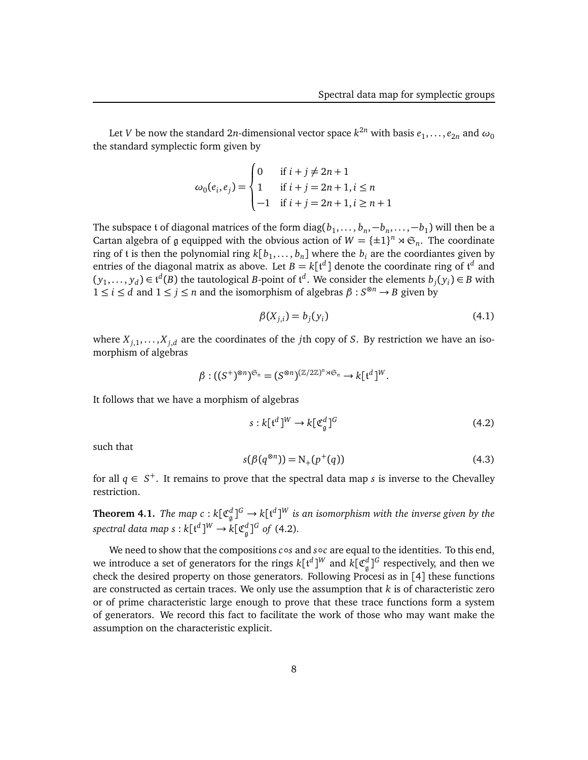Let  $V$  be now the standard  $2n$ -dimensional vector space  $k^{2n}$  with basis  $e_1,\ldots,e_{2n}$  and  $\omega_0$ the standard symplectic form given by

$$
\omega_0(e_i, e_j) = \begin{cases} 0 & \text{if } i + j \neq 2n + 1 \\ 1 & \text{if } i + j = 2n + 1, i \leq n \\ -1 & \text{if } i + j = 2n + 1, i \geq n + 1 \end{cases}
$$

The subspace  $t$  of diagonal matrices of the form  $\text{diag}(b_1,\ldots,b_n,-b_n,\ldots,-b_1)$  will then be a Cartan algebra of g equipped with the obvious action of  $W = {\pm 1}^n \rtimes \mathfrak{S}_n$ . The coordinate ring of  $t$  is then the polynomial ring  $k[b_1,\ldots,b_n]$  where the  $b_i$  are the coordiantes given by entries of the diagonal matrix as above. Let  $B = k[t^d]$  denote the coordinate ring of  $t^d$  and  $(y_1, \ldots, y_d) \in t^d(B)$  the tautological *B*-point of  $t^d$ . We consider the elements  $b_j(y_i) \in B$  with 1 ≤ *i* ≤ *d* and 1 ≤ *j* ≤ *n* and the isomorphism of algebras *β* : *S* <sup>⊗</sup>*<sup>n</sup>* → *B* given by

$$
\beta(X_{j,i}) = b_j(y_i) \tag{4.1}
$$

where  $X_{j,1},...,X_{j,d}$  are the coordinates of the *j*th copy of *S*. By restriction we have an isomorphism of algebras

$$
\beta: ((S^+)^{\otimes n})^{\mathfrak{S}_n}=(S^{\otimes n})^{(\mathbb{Z}/2\mathbb{Z})^n \rtimes \mathfrak{S}_n} \to k[\mathfrak{t}^d]^W.
$$

It follows that we have a morphism of algebras

$$
s: k[{\mathfrak t}^d]^W \to k[{\mathfrak C}^d_{\mathfrak g}]^G \tag{4.2}
$$

such that

$$
s(\beta(q^{\otimes n})) = N_{+}(p^{+}(q))
$$
\n(4.3)

for all  $q \in S^+$ . It remains to prove that the spectral data map *s* is inverse to the Chevalley restriction.

**Theorem 4.1.** *The map c* :  $k[\mathfrak{C}_{\mathfrak{g}}^d]^G \to k[\mathfrak{t}^d]^W$  is an isomorphism with the inverse given by the  $spectral data map s: k[$ t<sup>d</sup> $]^{W} \rightarrow k[$ C<sup>d</sup><sub> $g$ </sub><sup> $]^{G}$ </sup> of (4.2).

We need to show that the compositions *c*∘*s* and *s*∘*c* are equal to the identities. To this end, we introduce a set of generators for the rings  $k[$ t $^d$ ] $^W$  and  $k[$  $\mathfrak{C}^d_{\mathfrak{g}}]^{G}$  respectively, and then we check the desired property on those generators. Following Procesi as in [4] these functions are constructed as certain traces. We only use the assumption that *k* is of characteristic zero or of prime characteristic large enough to prove that these trace functions form a system of generators. We record this fact to facilitate the work of those who may want make the assumption on the characteristic explicit.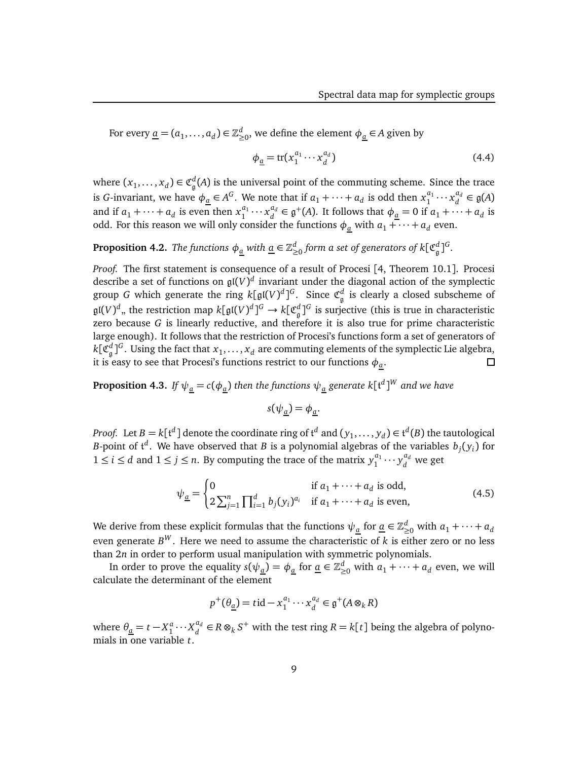For every  $\underline{a} = (a_1, \ldots, a_d) \in \mathbb{Z}_{\geq 0}^d$ , we define the element  $\phi_{\underline{a}} \in A$  given by

$$
\phi_{\underline{a}} = \text{tr}(x_1^{a_1} \cdots x_d^{a_d})
$$
\n(4.4)

where  $(x_1, \ldots, x_d) \in \mathfrak{C}_{\mathfrak{g}}^d(A)$  is the universal point of the commuting scheme. Since the trace is *G*-invariant, we have  $\phi_a \in A^G$ . We note that if  $a_1 + \cdots + a_d$  is odd then  $x_1^{a_1}$  $a_1 \cdots x_d^{a_d}$  $\mathbf{a}^{u_d}_{d}$  ∈  $\mathfrak{g}(A)$ and if  $a_1 + \cdots + a_d$  is even then  $x_1^{a_1}$  $a_1 \cdots x_d^{a_d}$  $d_d^{a_d} \in \mathfrak{g}^+(A)$ . It follows that  $\phi_{\underline{a}} = 0$  if  $a_1 + \cdots + a_d$  is odd. For this reason we will only consider the functions  $\phi_a$  with  $a_1 + \cdots + a_d$  even.

# **Proposition 4.2.** *The functions*  $\phi_{\underline{a}}$  *with*  $\underline{a} \in \mathbb{Z}_{\geq 0}^d$  *form a set of generators of k[* $\mathfrak{C}_{\mathfrak{g}}^d$ *]* $^G$ *.*

*Proof.* The first statement is consequence of a result of Procesi [4, Theorem 10.1]. Procesi describe a set of functions on gl(*V*) *d* invariant under the diagonal action of the symplectic group *G* which generate the ring  $k[\mathfrak{gl}(V)^d]^G$ . Since  $\mathfrak{C}^d_{\mathfrak{g}}$  is clearly a closed subscheme of  $\frak{gl}(V)^d$  , the restriction map  $k[\frak{gl}(V)^d]^G\to k[\frak{C}^d_{\frak{g}}]^G$  is surjective (this is true in characteristic zero because *G* is linearly reductive, and therefore it is also true for prime characteristic large enough). It follows that the restriction of Procesi's functions form a set of generators of  $k[\mathfrak{C}^d_{\mathfrak{g}}]^G.$  Using the fact that  $x_1,\ldots,x_d$  are commuting elements of the symplectic Lie algebra, it is easy to see that Procesi's functions restrict to our functions  $\phi_{\underline a}.$  $\Box$ 

**Proposition 4.3.** If  $\psi_{\underline{a}}=c(\phi_{\underline{a}})$  then the functions  $\psi_{\underline{a}}$  generate k[t<sup>d</sup>] $^W$  and we have

$$
s(\psi_{\underline{a}}) = \phi_{\underline{a}}.
$$

*Proof.* Let  $B = k[t^d]$  denote the coordinate ring of  $t^d$  and  $(y_1, \ldots, y_d) \in t^d(B)$  the tautological *B*-point of  $\mathfrak{t}^d$ . We have observed that *B* is a polynomial algebras of the variables  $b_j(y_i)$  for 1 ≤ *i* ≤ *d* and 1 ≤ *j* ≤ *n*. By computing the trace of the matrix  $y_1^{a_1}$  $y_1^{a_1} \cdots y_d^{a_d}$  $\frac{u_d}{d}$  we get

$$
\psi_{\underline{a}} = \begin{cases} 0 & \text{if } a_1 + \dots + a_d \text{ is odd,} \\ 2 \sum_{j=1}^n \prod_{i=1}^d b_j (y_i)^{a_i} & \text{if } a_1 + \dots + a_d \text{ is even,} \end{cases}
$$
(4.5)

We derive from these explicit formulas that the functions  $\psi_{\underline{a}}$  for  $\underline{a} \in \mathbb{Z}_{\geq 0}^d$  with  $a_1 + \cdots + a_d$ even generate *B <sup>W</sup>* . Here we need to assume the characteristic of *k* is either zero or no less than 2*n* in order to perform usual manipulation with symmetric polynomials.

In order to prove the equality  $s(\psi_{\underline{a}}) = \phi_{\underline{a}}$  for  $\underline{a} \in \mathbb{Z}_{\geq 0}^d$  with  $a_1 + \cdots + a_d$  even, we will calculate the determinant of the element

$$
p^+(\theta_{\underline{a}}) = t \mathrm{id} - x_1^{a_1} \cdots x_d^{a_d} \in \mathfrak{g}^+(A \otimes_k R)
$$

where  $\theta_{\underline{a}} = t - X_1^a \cdots X_d^{a_d}$ *d*<sup>*d*</sup> ∈ *R* ⊗<sub>*k*</sub> *S*<sup>+</sup> with the test ring *R* = *k*[*t*] being the algebra of polynomials in one variable *t*.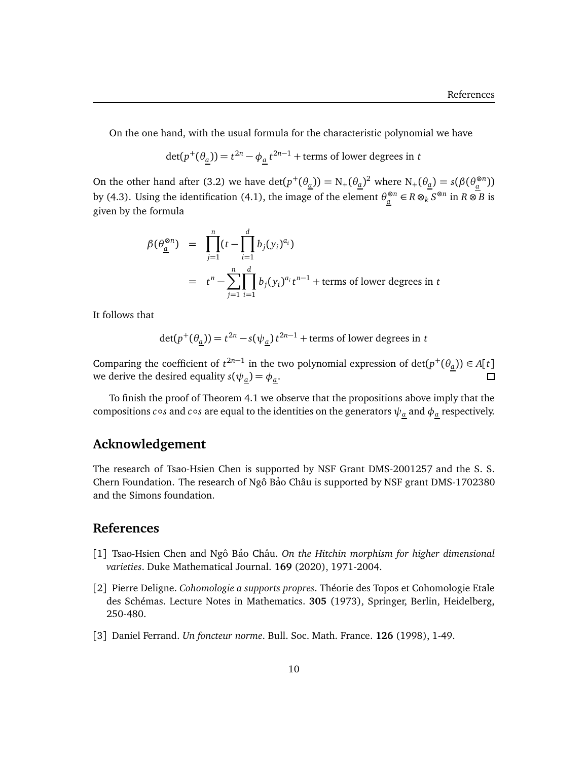On the one hand, with the usual formula for the characteristic polynomial we have

 $\det(p^+(\theta_a)) = t^{2n} - \phi_a t^{2n-1} + \text{terms of lower degrees in } t$ 

On the other hand after (3.2) we have  $\det(p^+(\theta_a)) = N_+(\theta_a)^2$  where  $N_+(\theta_a) = s(\beta(\theta_a^{\otimes n}))$ by (4.3). Using the identification (4.1), the image of the element  $\theta_a^{\otimes n} \in R \otimes_k S^{\otimes n}$  in  $R \otimes B$  is given by the formula

$$
\beta(\theta_{\underline{a}}^{\otimes n}) = \prod_{j=1}^{n} (t - \prod_{i=1}^{d} b_j(y_i)^{a_i})
$$
  
=  $t^n - \sum_{j=1}^{n} \prod_{i=1}^{d} b_j(y_i)^{a_i} t^{n-1}$  + terms of lower degrees in t

It follows that

$$
\det(p^+(\theta_{\underline{a}})) = t^{2n} - s(\psi_{\underline{a}}) t^{2n-1} + \text{terms of lower degrees in } t
$$

Comparing the coefficient of  $t^{2n-1}$  in the two polynomial expression of  $det(p^+(\theta_a)) \in A[t]$ we derive the desired equality  $s(\psi_a) = \phi_a$ .

To finish the proof of Theorem 4.1 we observe that the propositions above imply that the compositions  $c \circ s$  and  $c \circ s$  are equal to the identities on the generators  $\psi_{\underline{a}}$  and  $\phi_{\underline{a}}$  respectively.

## **Acknowledgement**

The research of Tsao-Hsien Chen is supported by NSF Grant DMS-2001257 and the S. S. Chern Foundation. The research of Ngô Bảo Châu is supported by NSF grant DMS-1702380 and the Simons foundation.

# **References**

- [1] Tsao-Hsien Chen and Ngô Bảo Châu. *On the Hitchin morphism for higher dimensional varieties*. Duke Mathematical Journal. **169** (2020), 1971-2004.
- [2] Pierre Deligne. *Cohomologie a supports propres*. Théorie des Topos et Cohomologie Etale des Schémas. Lecture Notes in Mathematics. **305** (1973), Springer, Berlin, Heidelberg, 250-480.
- [3] Daniel Ferrand. *Un foncteur norme*. Bull. Soc. Math. France. **126** (1998), 1-49.